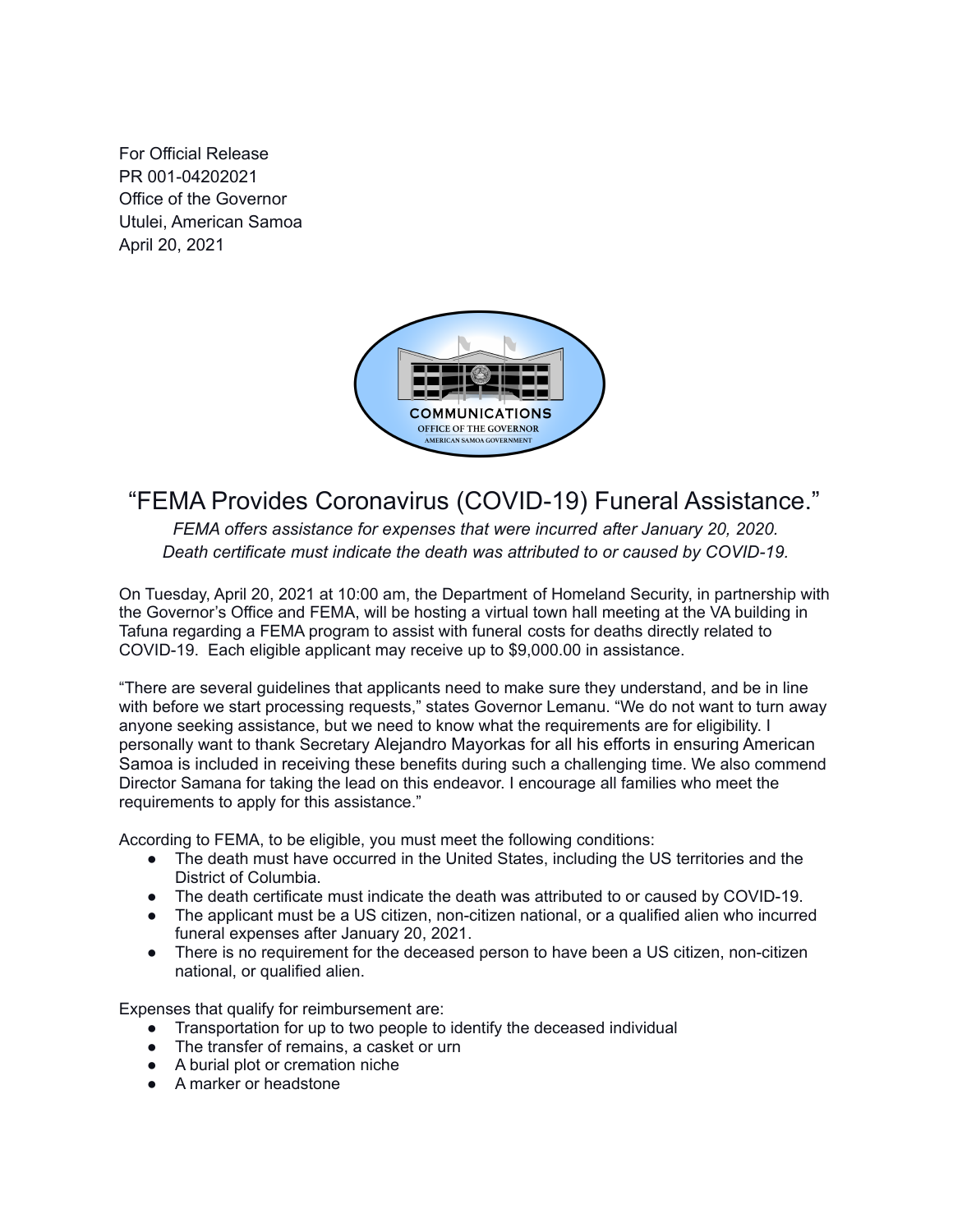For Official Release PR 001-04202021 Office of the Governor Utulei, American Samoa April 20, 2021



## "FEMA Provides Coronavirus (COVID-19) Funeral Assistance."

*FEMA offers assistance for expenses that were incurred after January 20, 2020. Death certificate must indicate the death was attributed to or caused by COVID-19.*

On Tuesday, April 20, 2021 at 10:00 am, the Department of Homeland Security, in partnership with the Governor's Office and FEMA, will be hosting a virtual town hall meeting at the VA building in Tafuna regarding a FEMA program to assist with funeral costs for deaths directly related to COVID-19. Each eligible applicant may receive up to \$9,000.00 in assistance.

"There are several guidelines that applicants need to make sure they understand, and be in line with before we start processing requests," states Governor Lemanu. "We do not want to turn away anyone seeking assistance, but we need to know what the requirements are for eligibility. I personally want to thank Secretary Alejandro Mayorkas for all his efforts in ensuring American Samoa is included in receiving these benefits during such a challenging time. We also commend Director Samana for taking the lead on this endeavor. I encourage all families who meet the requirements to apply for this assistance."

According to FEMA, to be eligible, you must meet the following conditions:

- The death must have occurred in the United States, including the US territories and the District of Columbia.
- The death certificate must indicate the death was attributed to or caused by COVID-19.
- The applicant must be a US citizen, non-citizen national, or a qualified alien who incurred funeral expenses after January 20, 2021.
- There is no requirement for the deceased person to have been a US citizen, non-citizen national, or qualified alien.

Expenses that qualify for reimbursement are:

- Transportation for up to two people to identify the deceased individual
- The transfer of remains, a casket or urn
- A burial plot or cremation niche
- A marker or headstone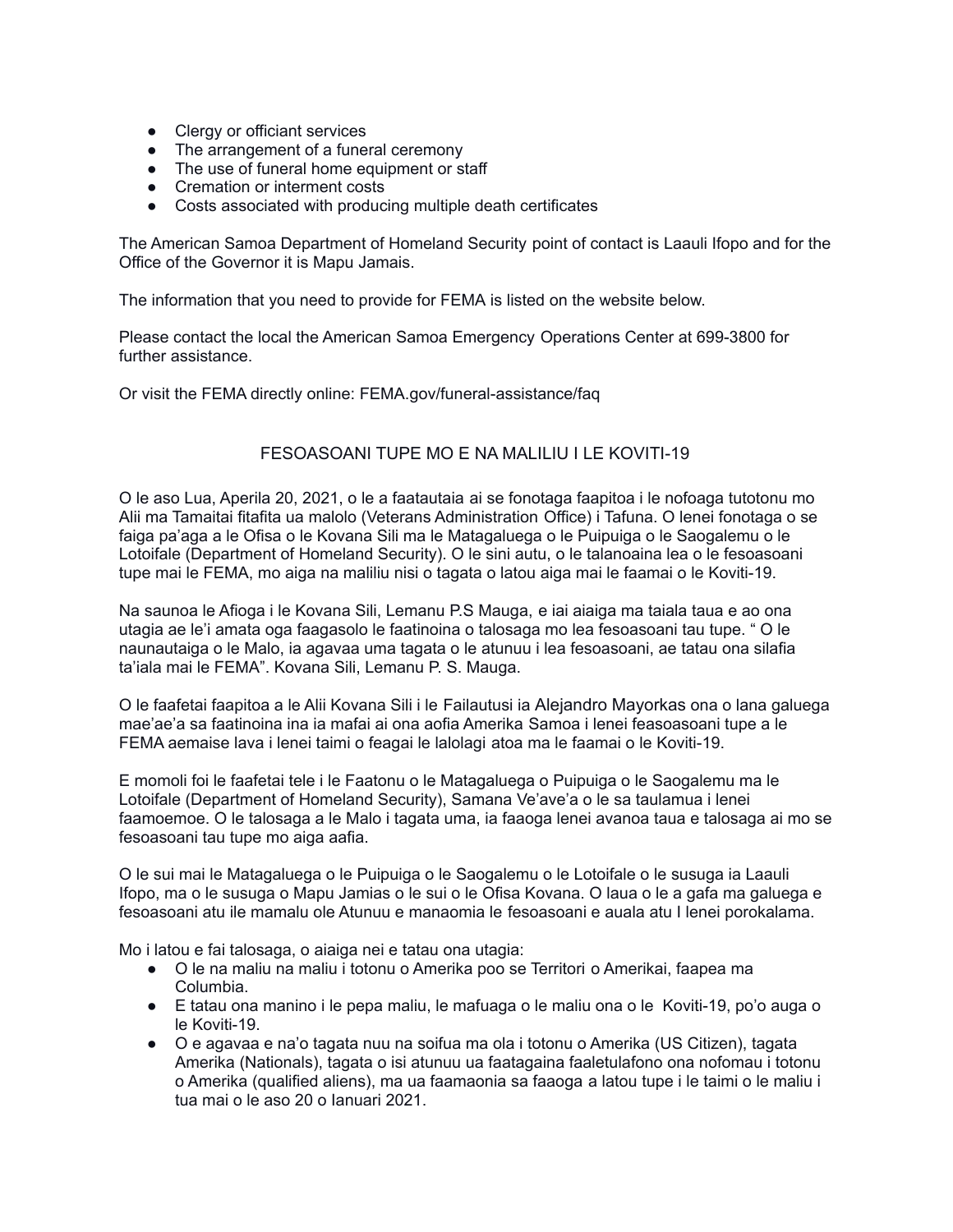- Clergy or officiant services
- The arrangement of a funeral ceremony
- The use of funeral home equipment or staff
- Cremation or interment costs
- Costs associated with producing multiple death certificates

The American Samoa Department of Homeland Security point of contact is Laauli Ifopo and for the Office of the Governor it is Mapu Jamais.

The information that you need to provide for FEMA is listed on the website below.

Please contact the local the American Samoa Emergency Operations Center at 699-3800 for further assistance.

Or visit the FEMA directly online: FEMA.gov/funeral-assistance/faq

## FESOASOANI TUPE MO E NA MALILIU I LE KOVITI-19

O le aso Lua, Aperila 20, 2021, o le a faatautaia ai se fonotaga faapitoa i le nofoaga tutotonu mo Alii ma Tamaitai fitafita ua malolo (Veterans Administration Office) i Tafuna. O lenei fonotaga o se faiga pa'aga a le Ofisa o le Kovana Sili ma le Matagaluega o le Puipuiga o le Saogalemu o le Lotoifale (Department of Homeland Security). O le sini autu, o le talanoaina lea o le fesoasoani tupe mai le FEMA, mo aiga na maliliu nisi o tagata o latou aiga mai le faamai o le Koviti-19.

Na saunoa le Afioga i le Kovana Sili, Lemanu P.S Mauga, e iai aiaiga ma taiala taua e ao ona utagia ae le'i amata oga faagasolo le faatinoina o talosaga mo lea fesoasoani tau tupe. " O le naunautaiga o le Malo, ia agavaa uma tagata o le atunuu i lea fesoasoani, ae tatau ona silafia ta'iala mai le FEMA". Kovana Sili, Lemanu P. S. Mauga.

O le faafetai faapitoa a le Alii Kovana Sili i le Failautusi ia Alejandro Mayorkas ona o lana galuega mae'ae'a sa faatinoina ina ia mafai ai ona aofia Amerika Samoa i lenei feasoasoani tupe a le FEMA aemaise lava i lenei taimi o feagai le lalolagi atoa ma le faamai o le Koviti-19.

E momoli foi le faafetai tele i le Faatonu o le Matagaluega o Puipuiga o le Saogalemu ma le Lotoifale (Department of Homeland Security), Samana Ve'ave'a o le sa taulamua i lenei faamoemoe. O le talosaga a le Malo i tagata uma, ia faaoga lenei avanoa taua e talosaga ai mo se fesoasoani tau tupe mo aiga aafia.

O le sui mai le Matagaluega o le Puipuiga o le Saogalemu o le Lotoifale o le susuga ia Laauli Ifopo, ma o le susuga o Mapu Jamias o le sui o le Ofisa Kovana. O laua o le a gafa ma galuega e fesoasoani atu ile mamalu ole Atunuu e manaomia le fesoasoani e auala atu I lenei porokalama.

Mo i latou e fai talosaga, o aiaiga nei e tatau ona utagia:

- O le na maliu na maliu i totonu o Amerika poo se Territori o Amerikai, faapea ma Columbia.
- E tatau ona manino i le pepa maliu, le mafuaga o le maliu ona o le Koviti-19, po'o auga o le Koviti-19.
- O e agavaa e na'o tagata nuu na soifua ma ola i totonu o Amerika (US Citizen), tagata Amerika (Nationals), tagata o isi atunuu ua faatagaina faaletulafono ona nofomau i totonu o Amerika (qualified aliens), ma ua faamaonia sa faaoga a latou tupe i le taimi o le maliu i tua mai o le aso 20 o Ianuari 2021.